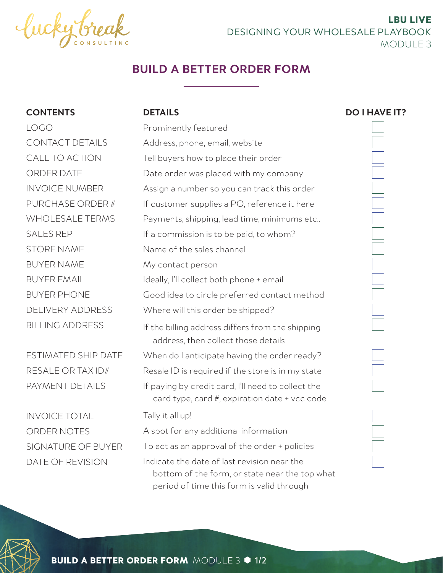

LBU LIVE DESIGNING YOUR WHOLESALE PLAYBOOK MODULE 3

# **BUILD A BETTER ORDER FORM**

| <b>CONTENTS</b>            | <b>DETAILS</b>                           |
|----------------------------|------------------------------------------|
| LOGO                       | Prominently featu                        |
| <b>CONTACT DETAILS</b>     | Address, phone, er                       |
| CALL TO ACTION             | Tell buyers how to                       |
| <b>ORDER DATE</b>          | Date order was pla                       |
| <b>INVOICE NUMBER</b>      | Assign a number s                        |
| PURCHASE ORDER #           | If customer suppli                       |
| <b>WHOLESALE TERMS</b>     | Payments, shippin                        |
| <b>SALES REP</b>           | If a commission is                       |
| <b>STORE NAME</b>          | Name of the sales                        |
| <b>BUYER NAME</b>          | My contact perso                         |
| <b>BUYER EMAIL</b>         | Ideally, I'll collect b                  |
| <b>BUYER PHONE</b>         | Good idea to circl                       |
| <b>DELIVERY ADDRESS</b>    | Where will this ord                      |
| <b>BILLING ADDRESS</b>     | If the billing addre<br>address, then co |
| <b>ESTIMATED SHIP DATE</b> | When do I anticipa                       |
| RESALE OR TAX ID#          | Resale ID is requir                      |
| PAYMENT DETAILS            | If paying by credit<br>card type, card   |
| <b>INVOICE TOTAL</b>       | Tally it all up!                         |
| ORDER NOTES                | A spot for any add                       |
| CICNIATHDE AF DHVED        |                                          |

SIGNATURE OF BUYER DATE OF REVISION

| Prominently featured                                                                                |
|-----------------------------------------------------------------------------------------------------|
| Address, phone, email, website                                                                      |
| Tell buyers how to place their order                                                                |
| Date order was placed with my company                                                               |
| Assign a number so you can track this order                                                         |
| If customer supplies a PO, reference it here                                                        |
| Payments, shipping, lead time, minimums etc                                                         |
| If a commission is to be paid, to whom?                                                             |
| Name of the sales channel                                                                           |
| My contact person                                                                                   |
| Ideally, I'll collect both phone + email                                                            |
| Good idea to circle preferred contact method                                                        |
| Where will this order be shipped?                                                                   |
| If the billing address differs from the shipping<br>address, then collect those details             |
| When do I anticipate having the order ready?                                                        |
| Resale ID is required if the store is in my state                                                   |
| If paying by credit card, I'll need to collect the<br>card type, card #, expiration date + vcc code |
| Tally it all up!                                                                                    |
| A spot for any additional information                                                               |
| To act as an approval of the order + policies                                                       |
| Indicate the date of last revision near the                                                         |

 bottom of the form, or state near the top what period of time this form is valid through







**BUILD A BETTER ORDER FORM MODULE 3 0 1/2**